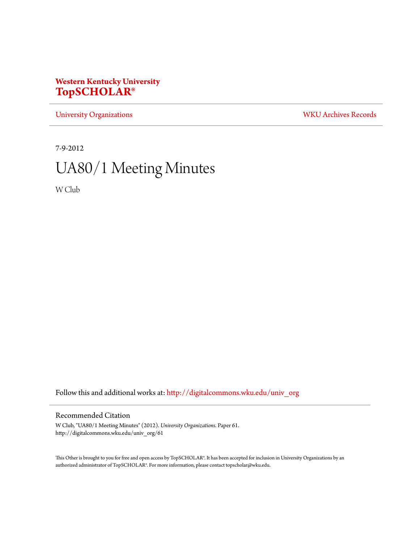# **Western Kentucky University [TopSCHOLAR®](http://digitalcommons.wku.edu?utm_source=digitalcommons.wku.edu%2Funiv_org%2F61&utm_medium=PDF&utm_campaign=PDFCoverPages)**

[University Organizations](http://digitalcommons.wku.edu/univ_org?utm_source=digitalcommons.wku.edu%2Funiv_org%2F61&utm_medium=PDF&utm_campaign=PDFCoverPages) [WKU Archives Records](http://digitalcommons.wku.edu/dlsc_ua_records?utm_source=digitalcommons.wku.edu%2Funiv_org%2F61&utm_medium=PDF&utm_campaign=PDFCoverPages)

7-9-2012

# UA80/1 Meeting Minutes

W Club

Follow this and additional works at: [http://digitalcommons.wku.edu/univ\\_org](http://digitalcommons.wku.edu/univ_org?utm_source=digitalcommons.wku.edu%2Funiv_org%2F61&utm_medium=PDF&utm_campaign=PDFCoverPages)

## Recommended Citation

W Club, "UA80/1 Meeting Minutes" (2012). *University Organizations.* Paper 61. http://digitalcommons.wku.edu/univ\_org/61

This Other is brought to you for free and open access by TopSCHOLAR®. It has been accepted for inclusion in University Organizations by an authorized administrator of TopSCHOLAR®. For more information, please contact topscholar@wku.edu.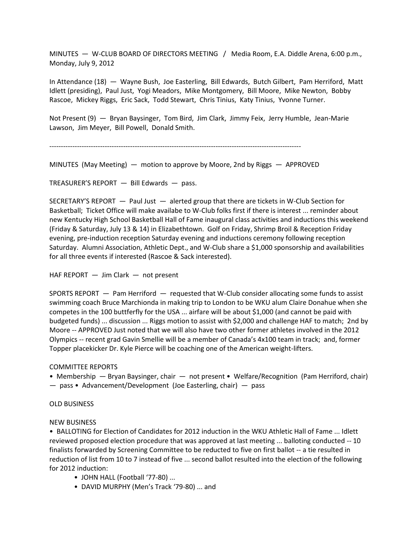MINUTES — W-CLUB BOARD OF DIRECTORS MEETING / Media Room, E.A. Diddle Arena, 6:00 p.m., Monday, July 9, 2012

In Attendance (18) — Wayne Bush, Joe Easterling, Bill Edwards, Butch Gilbert, Pam Herriford, Matt Idlett (presiding), Paul Just, Yogi Meadors, Mike Montgomery, Bill Moore, Mike Newton, Bobby Rascoe, Mickey Riggs, Eric Sack, Todd Stewart, Chris Tinius, Katy Tinius, Yvonne Turner.

Not Present (9) — Bryan Baysinger, Tom Bird, Jim Clark, Jimmy Feix, Jerry Humble, Jean-Marie Lawson, Jim Meyer, Bill Powell, Donald Smith.

-------------------------------------------------------------------------------------------------------------

MINUTES (May Meeting) — motion to approve by Moore, 2nd by Riggs — APPROVED

TREASURER'S REPORT — Bill Edwards — pass.

SECRETARY'S REPORT — Paul Just — alerted group that there are tickets in W-Club Section for Basketball; Ticket Office will make availabe to W-Club folks first if there is interest ... reminder about new Kentucky High School Basketball Hall of Fame inaugural class activities and inductions this weekend (Friday & Saturday, July 13 & 14) in Elizabethtown. Golf on Friday, Shrimp Broil & Reception Friday evening, pre-induction reception Saturday evening and inductions ceremony following reception Saturday. Alumni Association, Athletic Dept., and W-Club share a \$1,000 sponsorship and availabilities for all three events if interested (Rascoe & Sack interested).

HAF REPORT — Jim Clark — not present

SPORTS REPORT — Pam Herriford — requested that W-Club consider allocating some funds to assist swimming coach Bruce Marchionda in making trip to London to be WKU alum Claire Donahue when she competes in the 100 buttferfly for the USA ... airfare will be about \$1,000 (and cannot be paid with budgeted funds) ... discussion ... Riggs motion to assist with \$2,000 and challenge HAF to match; 2nd by Moore -- APPROVED Just noted that we will also have two other former athletes involved in the 2012 Olympics -- recent grad Gavin Smellie will be a member of Canada's 4x100 team in track; and, former Topper placekicker Dr. Kyle Pierce will be coaching one of the American weight-lifters.

#### COMMITTEE REPORTS

• Membership — Bryan Baysinger, chair — not present • Welfare/Recognition (Pam Herriford, chair)

— pass • Advancement/Development (Joe Easterling, chair) — pass

### OLD BUSINESS

#### NEW BUSINESS

• BALLOTING for Election of Candidates for 2012 induction in the WKU Athletic Hall of Fame ... Idlett reviewed proposed election procedure that was approved at last meeting ... balloting conducted -- 10 finalists forwarded by Screening Committee to be reducted to five on first ballot -- a tie resulted in reduction of list from 10 to 7 instead of five ... second ballot resulted into the election of the following for 2012 induction:

- JOHN HALL (Football '77-80) ...
- DAVID MURPHY (Men's Track '79-80) ... and